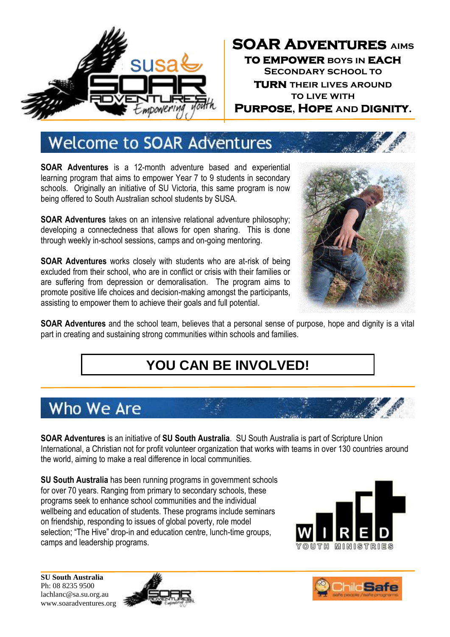

### **SOAR Adventures aims to empower boys in each Secondary school to turn their lives around to live with Purpose, Hope and Dignity.**

## **Welcome to SOAR Adventures**

**SOAR Adventures** is a 12-month adventure based and experiential learning program that aims to empower Year 7 to 9 students in secondary schools. Originally an initiative of SU Victoria, this same program is now being offered to South Australian school students by SUSA.

**SOAR Adventures** takes on an intensive relational adventure philosophy; developing a connectedness that allows for open sharing. This is done through weekly in-school sessions, camps and on-going mentoring.

**SOAR Adventures** works closely with students who are at-risk of being excluded from their school, who are in conflict or crisis with their families or are suffering from depression or demoralisation. The program aims to promote positive life choices and decision-making amongst the participants, assisting to empower them to achieve their goals and full potential.



**SOAR Adventures** and the school team, believes that a personal sense of purpose, hope and dignity is a vital part in creating and sustaining strong communities within schools and families.

### **YOU CAN BE INVOLVED!**

### Who We Are

**SOAR Adventures** is an initiative of **SU South Australia**. SU South Australia is part of Scripture Union International, a Christian not for profit volunteer organization that works with teams in over 130 countries around the world, aiming to make a real difference in local communities.

**SU South Australia** has been running programs in government schools for over 70 years. Ranging from primary to secondary schools, these programs seek to enhance school communities and the individual wellbeing and education of students. These programs include seminars on friendship, responding to issues of global poverty, role model selection; "The Hive" drop-in and education centre, lunch-time groups, camps and leadership programs.



![](_page_0_Picture_14.jpeg)

![](_page_0_Picture_15.jpeg)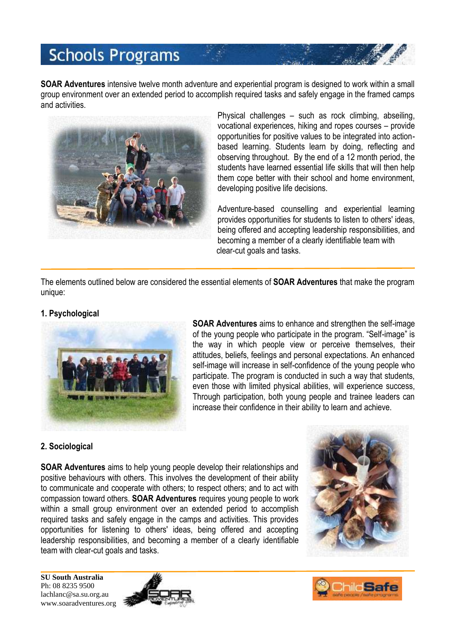## **Schools Programs**

**SOAR Adventures** intensive twelve month adventure and experiential program is designed to work within a small group environment over an extended period to accomplish required tasks and safely engage in the framed camps and activities.

![](_page_1_Picture_2.jpeg)

Physical challenges – such as rock climbing, abseiling, vocational experiences, hiking and ropes courses – provide opportunities for positive values to be integrated into actionbased learning. Students learn by doing, reflecting and observing throughout. By the end of a 12 month period, the students have learned essential life skills that will then help them cope better with their school and home environment, developing positive life decisions.

Adventure-based counselling and experiential learning provides opportunities for students to listen to others' ideas, being offered and accepting leadership responsibilities, and becoming a member of a clearly identifiable team with clear-cut goals and tasks.

The elements outlined below are considered the essential elements of **SOAR Adventures** that make the program unique:

#### **1. Psychological**

![](_page_1_Picture_7.jpeg)

**SOAR Adventures** aims to enhance and strengthen the self-image of the young people who participate in the program. "Self-image" is the way in which people view or perceive themselves, their attitudes, beliefs, feelings and personal expectations. An enhanced self-image will increase in self-confidence of the young people who participate. The program is conducted in such a way that students, even those with limited physical abilities, will experience success, Through participation, both young people and trainee leaders can increase their confidence in their ability to learn and achieve.

#### **2. Sociological**

**SOAR Adventures** aims to help young people develop their relationships and positive behaviours with others. This involves the development of their ability to communicate and cooperate with others; to respect others; and to act with compassion toward others. **SOAR Adventures** requires young people to work within a small group environment over an extended period to accomplish required tasks and safely engage in the camps and activities. This provides opportunities for listening to others' ideas, being offered and accepting leadership responsibilities, and becoming a member of a clearly identifiable team with clear-cut goals and tasks.

![](_page_1_Picture_11.jpeg)

![](_page_1_Picture_13.jpeg)

![](_page_1_Picture_14.jpeg)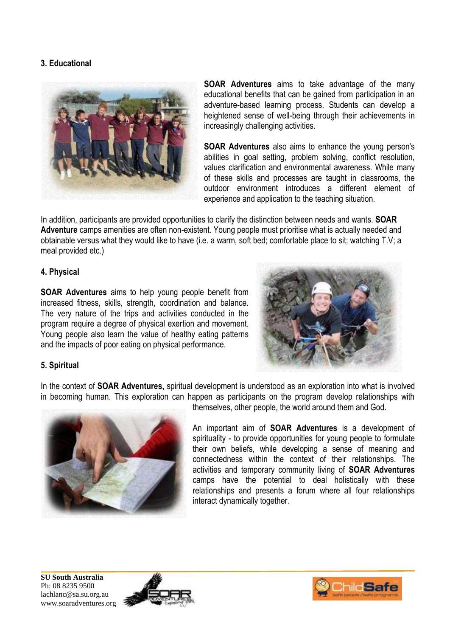#### **3. Educational**

![](_page_2_Picture_1.jpeg)

**SOAR Adventures** aims to take advantage of the many educational benefits that can be gained from participation in an adventure-based learning process. Students can develop a heightened sense of well-being through their achievements in increasingly challenging activities.

**SOAR Adventures** also aims to enhance the young person's abilities in goal setting, problem solving, conflict resolution, values clarification and environmental awareness. While many of these skills and processes are taught in classrooms, the outdoor environment introduces a different element of experience and application to the teaching situation.

In addition, participants are provided opportunities to clarify the distinction between needs and wants. **SOAR Adventure** camps amenities are often non-existent. Young people must prioritise what is actually needed and obtainable versus what they would like to have (i.e. a warm, soft bed; comfortable place to sit; watching T.V; a meal provided etc.)

#### **4. Physical**

**SOAR Adventures** aims to help young people benefit from increased fitness, skills, strength, coordination and balance. The very nature of the trips and activities conducted in the program require a degree of physical exertion and movement. Young people also learn the value of healthy eating patterns and the impacts of poor eating on physical performance.

![](_page_2_Picture_7.jpeg)

#### **5. Spiritual**

In the context of **SOAR Adventures,** spiritual development is understood as an exploration into what is involved in becoming human. This exploration can happen as participants on the program develop relationships with themselves, other people, the world around them and God.

![](_page_2_Picture_10.jpeg)

An important aim of **SOAR Adventures** is a development of spirituality - to provide opportunities for young people to formulate their own beliefs, while developing a sense of meaning and connectedness within the context of their relationships. The activities and temporary community living of **SOAR Adventures** camps have the potential to deal holistically with these relationships and presents a forum where all four relationships interact dynamically together.

![](_page_2_Picture_13.jpeg)

![](_page_2_Picture_14.jpeg)